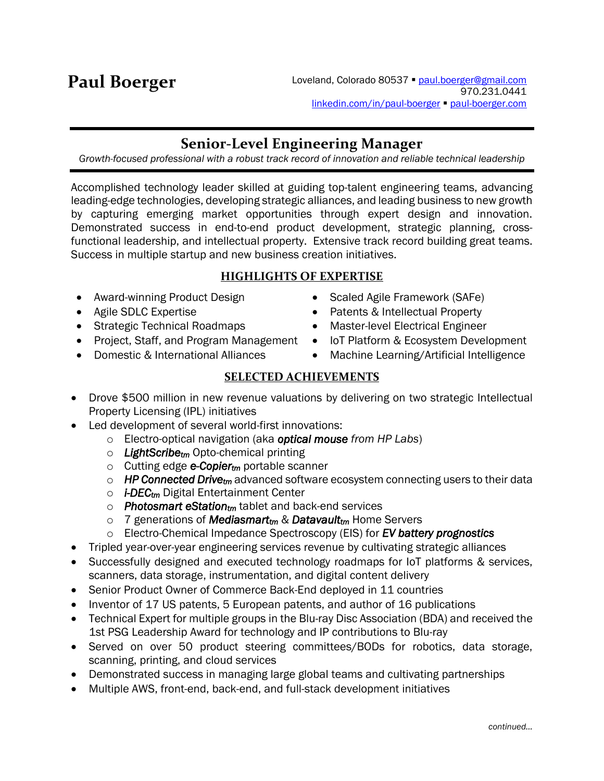# **Senior-Level Engineering Manager**

*Growth-focused professional with a robust track record of innovation and reliable technical leadership*

Accomplished technology leader skilled at guiding top-talent engineering teams, advancing leading-edge technologies, developing strategic alliances, and leading business to new growth by capturing emerging market opportunities through expert design and innovation. Demonstrated success in end-to-end product development, strategic planning, crossfunctional leadership, and intellectual property. Extensive track record building great teams. Success in multiple startup and new business creation initiatives.

# **HIGHLIGHTS OF EXPERTISE**

- Award-winning Product Design
- Agile SDLC Expertise
- Strategic Technical Roadmaps
- Project, Staff, and Program Management
- Domestic & International Alliances
- Scaled Agile Framework (SAFe)
- Patents & Intellectual Property
- Master-level Electrical Engineer
- IoT Platform & Ecosystem Development
- Machine Learning/Artificial Intelligence

# **SELECTED ACHIEVEMENTS**

- Drove \$500 million in new revenue valuations by delivering on two strategic Intellectual Property Licensing (IPL) initiatives
- Led development of several world-first innovations:
	- o Electro-optical navigation (aka *optical mouse from HP Labs*)
	- o *LightScribetm* Opto-chemical printing
	- o Cutting edge *e-Copiertm* portable scanner
	- o *HP Connected Drivetm* advanced software ecosystem connecting users to their data
	- o *i-DECtm* Digital Entertainment Center
	- o *Photosmart eStationtm* tablet and back-end services
	- o 7 generations of *Mediasmarttm* & *Datavaulttm* Home Servers
	- o Electro-Chemical Impedance Spectroscopy (EIS) for *EV battery prognostics*
- Tripled year-over-year engineering services revenue by cultivating strategic alliances
- Successfully designed and executed technology roadmaps for IoT platforms & services, scanners, data storage, instrumentation, and digital content delivery
- Senior Product Owner of Commerce Back-End deployed in 11 countries
- Inventor of 17 US patents, 5 European patents, and author of 16 publications
- Technical Expert for multiple groups in the Blu-ray Disc Association (BDA) and received the 1st PSG Leadership Award for technology and IP contributions to Blu-ray
- Served on over 50 product steering committees/BODs for robotics, data storage, scanning, printing, and cloud services
- Demonstrated success in managing large global teams and cultivating partnerships
- Multiple AWS, front-end, back-end, and full-stack development initiatives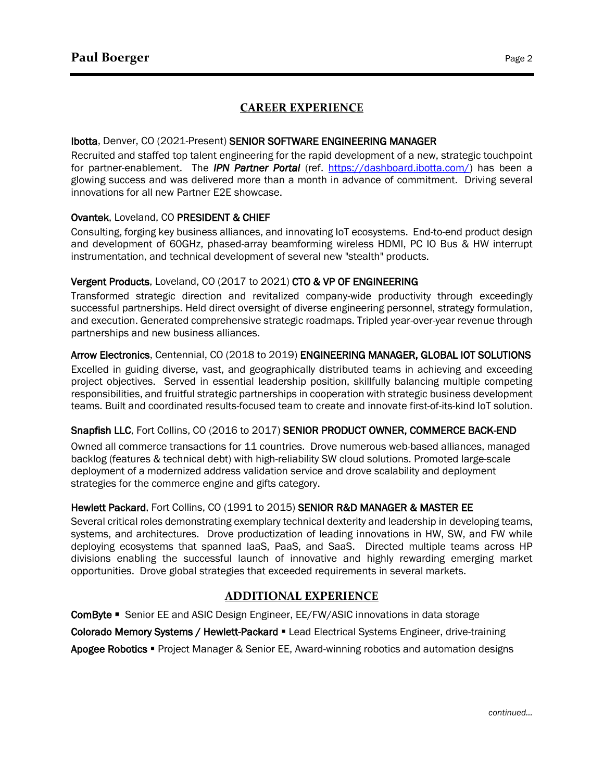# **CAREER EXPERIENCE**

#### Ibotta, Denver, CO (2021-Present) SENIOR SOFTWARE ENGINEERING MANAGER

Recruited and staffed top talent engineering for the rapid development of a new, strategic touchpoint for partner-enablement. The *IPN Partner Portal* (ref. [https://dashboard.ibotta.com/\)](https://dashboard.ibotta.com/) has been a glowing success and was delivered more than a month in advance of commitment. Driving several innovations for all new Partner E2E showcase.

#### Ovantek, Loveland, CO PRESIDENT & CHIEF

Consulting, forging key business alliances, and innovating IoT ecosystems. End-to-end product design and development of 60GHz, phased-array beamforming wireless HDMI, PC IO Bus & HW interrupt instrumentation, and technical development of several new "stealth" products.

#### Vergent Products, Loveland, CO (2017 to 2021) CTO & VP OF ENGINEERING

Transformed strategic direction and revitalized company-wide productivity through exceedingly successful partnerships. Held direct oversight of diverse engineering personnel, strategy formulation, and execution. Generated comprehensive strategic roadmaps. Tripled year-over-year revenue through partnerships and new business alliances.

#### Arrow Electronics, Centennial, CO (2018 to 2019) ENGINEERING MANAGER, GLOBAL IOT SOLUTIONS

Excelled in guiding diverse, vast, and geographically distributed teams in achieving and exceeding project objectives. Served in essential leadership position, skillfully balancing multiple competing responsibilities, and fruitful strategic partnerships in cooperation with strategic business development teams. Built and coordinated results-focused team to create and innovate first-of-its-kind IoT solution.

#### Snapfish LLC, Fort Collins, CO (2016 to 2017) SENIOR PRODUCT OWNER, COMMERCE BACK-END

Owned all commerce transactions for 11 countries. Drove numerous web-based alliances, managed backlog (features & technical debt) with high-reliability SW cloud solutions. Promoted large-scale deployment of a modernized address validation service and drove scalability and deployment strategies for the commerce engine and gifts category.

#### Hewlett Packard, Fort Collins, CO (1991 to 2015) SENIOR R&D MANAGER & MASTER EE

Several critical roles demonstrating exemplary technical dexterity and leadership in developing teams, systems, and architectures. Drove productization of leading innovations in HW, SW, and FW while deploying ecosystems that spanned IaaS, PaaS, and SaaS. Directed multiple teams across HP divisions enabling the successful launch of innovative and highly rewarding emerging market opportunities. Drove global strategies that exceeded requirements in several markets.

# **ADDITIONAL EXPERIENCE**

ComByte ▪ Senior EE and ASIC Design Engineer, EE/FW/ASIC innovations in data storage Colorado Memory Systems / Hewlett-Packard ▪ Lead Electrical Systems Engineer, drive-training Apogee Robotics ■ Project Manager & Senior EE, Award-winning robotics and automation designs